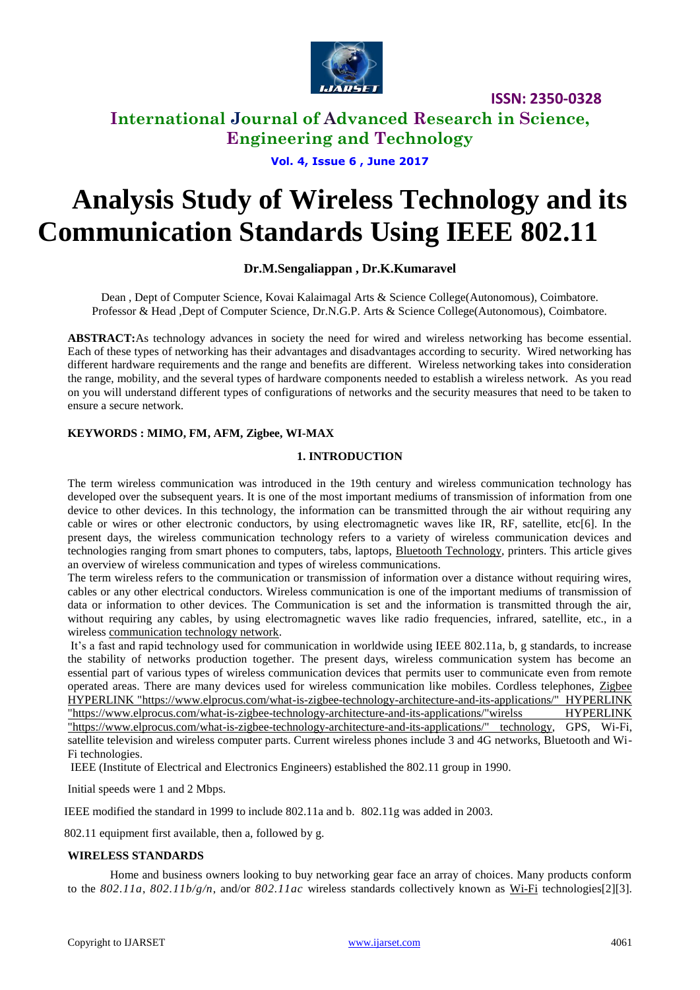

# **International Journal of Advanced Research in Science, Engineering and Technology**

**Vol. 4, Issue 6 , June 2017**

# **Analysis Study of Wireless Technology and its Communication Standards Using IEEE 802.11**

# **Dr.M.Sengaliappan , Dr.K.Kumaravel**

Dean , Dept of Computer Science, Kovai Kalaimagal Arts & Science College(Autonomous), Coimbatore. Professor & Head ,Dept of Computer Science, Dr.N.G.P. Arts & Science College(Autonomous), Coimbatore.

**ABSTRACT:**As technology advances in society the need for wired and wireless networking has become essential. Each of these types of networking has their advantages and disadvantages according to security. Wired networking has different hardware requirements and the range and benefits are different. Wireless networking takes into consideration the range, mobility, and the several types of hardware components needed to establish a wireless network. As you read on you will understand different types of configurations of networks and the security measures that need to be taken to ensure a secure network.

# **KEYWORDS : MIMO, FM, AFM, Zigbee, WI-MAX**

## **1. INTRODUCTION**

The term wireless communication was introduced in the 19th century and wireless communication technology has developed over the subsequent years. It is one of the most important mediums of transmission of information from one device to other devices. In this technology, the information can be transmitted through the air without requiring any cable or wires or other electronic conductors, by using electromagnetic waves like IR, RF, satellite, etc[6]. In the present days, the wireless communication technology refers to a variety of wireless communication devices and technologies ranging from smart phones to computers, tabs, laptops, [Bluetooth Technology,](https://www.elprocus.com/how-does-bluetooth-work/) printers. This article gives an overview of wireless communication and types of wireless communications.

The term wireless refers to the communication or transmission of information over a distance without requiring wires, cables or any other electrical conductors. Wireless communication is one of the important mediums of transmission of data or information to other devices. The Communication is set and the information is transmitted through the air, without requiring any cables, by using electromagnetic waves like radio frequencies, infrared, satellite, etc., in a wireless [communication technology network.](http://www.efxkits.us/introduction-to-mobile-satellite-communication-system-and-its-services/)

It's a fast and rapid technology used for communication in worldwide using IEEE 802.11a, b, g standards, to increase the stability of networks production together. The present days, wireless communication system has become an essential part of various types of wireless communication devices that permits user to communicate even from remote operated areas. There are many devices used for wireless communication like mobiles. Cordless telephones, [Zigbee](https://www.elprocus.com/what-is-zigbee-technology-architecture-and-its-applications/)  [HYPERLINK "https://www.elprocus.com/what-is-zigbee-technology-architecture-and-its-applications/" HYPERLINK](https://www.elprocus.com/what-is-zigbee-technology-architecture-and-its-applications/)  ["https://www.elprocus.com/what-is-zigbee-technology-architecture-and-its-applications/"wirelss HYPERLINK](https://www.elprocus.com/what-is-zigbee-technology-architecture-and-its-applications/)  ["https://www.elprocus.com/what-is-zigbee-technology-architecture-and-its-applications/" technology,](https://www.elprocus.com/what-is-zigbee-technology-architecture-and-its-applications/) GPS, Wi-Fi, satellite television and wireless computer parts. Current wireless phones include 3 and 4G networks, Bluetooth and Wi-Fi technologies.

IEEE (Institute of Electrical and Electronics Engineers) established the 802.11 group in 1990.

Initial speeds were 1 and 2 Mbps.

IEEE modified the standard in 1999 to include 802.11a and b. 802.11g was added in 2003.

802.11 equipment first available, then a, followed by g.

## **WIRELESS STANDARDS**

Home and business owners looking to buy networking gear face an array of choices. Many products conform to the *802.11a*, *802.11b/g/n*, and/or *802.11ac* wireless standards collectively known as [Wi-Fi](https://www.lifewire.com/what-is-wifi-816557) technologies[2][3].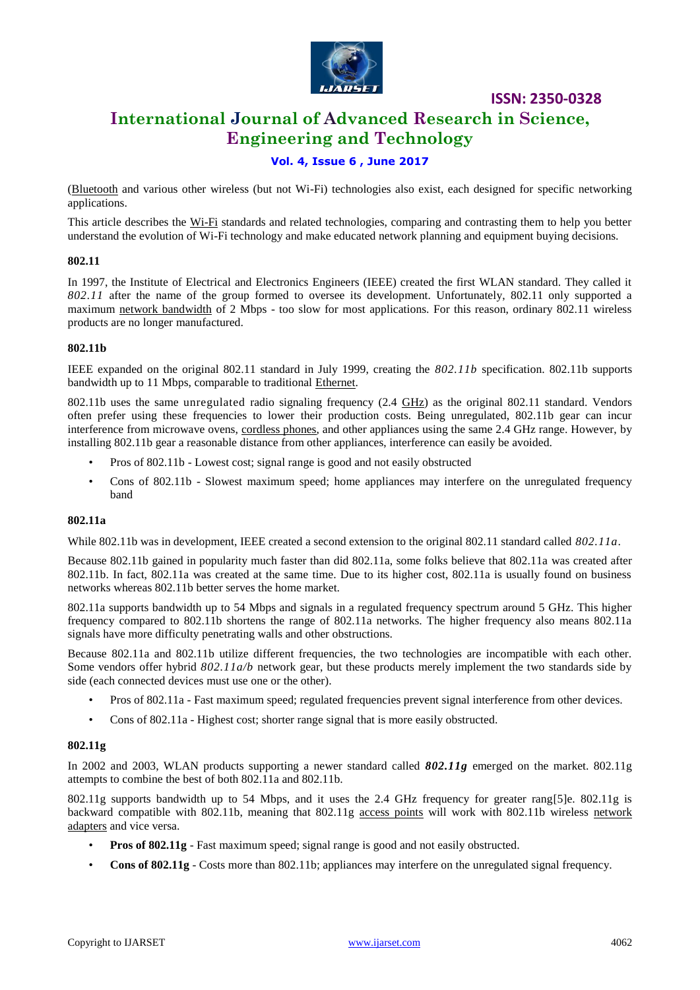

# **International Journal of Advanced Research in Science, Engineering and Technology**

# **Vol. 4, Issue 6 , June 2017**

[\(Bluetooth](https://www.lifewire.com/definition-of-bluetooth-816260) and various other wireless (but not Wi-Fi) technologies also exist, each designed for specific networking applications.

This article describes the [Wi-Fi](https://www.lifewire.com/what-is-wi-fi-2377430) standards and related technologies, comparing and contrasting them to help you better understand the evolution of Wi-Fi technology and make educated network planning and equipment buying decisions.

### **802.11**

In 1997, the Institute of Electrical and Electronics Engineers (IEEE) created the first WLAN standard. They called it *802.11* after the name of the group formed to oversee its development. Unfortunately, 802.11 only supported a maximum [network bandwidth](https://www.lifewire.com/what-is-bandwidth-p2-818121) of 2 Mbps - too slow for most applications. For this reason, ordinary 802.11 wireless products are no longer manufactured.

### **802.11b**

IEEE expanded on the original 802.11 standard in July 1999, creating the *802.11b* specification. 802.11b supports bandwidth up to 11 Mbps, comparable to traditional [Ethernet.](https://www.lifewire.com/definition-of-ethernet-816312)

802.11b uses the same unregulated radio signaling frequency (2.4 [GHz\)](https://www.lifewire.com/story-of-hertz-megahertz-and-gigahertz-818308) as the original 802.11 standard. Vendors often prefer using these frequencies to lower their production costs. Being unregulated, 802.11b gear can incur interference from microwave ovens, [cordless phones,](https://www.lifewire.com/best-cordless-phones-to-buy-4064601) and other appliances using the same 2.4 GHz range. However, by installing 802.11b gear a reasonable distance from other appliances, interference can easily be avoided.

- Pros of 802.11b Lowest cost; signal range is good and not easily obstructed
- Cons of 802.11b Slowest maximum speed; home appliances may interfere on the unregulated frequency band

### **802.11a**

While 802.11b was in development, IEEE created a second extension to the original 802.11 standard called *802.11a*.

Because 802.11b gained in popularity much faster than did 802.11a, some folks believe that 802.11a was created after 802.11b. In fact, 802.11a was created at the same time. Due to its higher cost, 802.11a is usually found on business networks whereas 802.11b better serves the home market.

802.11a supports bandwidth up to 54 Mbps and signals in a regulated frequency spectrum around 5 GHz. This higher frequency compared to 802.11b shortens the range of 802.11a networks. The higher frequency also means 802.11a signals have more difficulty penetrating walls and other obstructions.

Because 802.11a and 802.11b utilize different frequencies, the two technologies are incompatible with each other. Some vendors offer hybrid *802.11a/b* network gear, but these products merely implement the two standards side by side (each connected devices must use one or the other).

- Pros of 802.11a Fast maximum speed; regulated frequencies prevent signal interference from other devices.
- Cons of 802.11a Highest cost; shorter range signal that is more easily obstructed.

### **802.11g**

In 2002 and 2003, WLAN products supporting a newer standard called *802.11g* emerged on the market. 802.11g attempts to combine the best of both 802.11a and 802.11b.

802.11g supports bandwidth up to 54 Mbps, and it uses the 2.4 GHz frequency for greater rang[5]e. 802.11g is backward compatible with 802.11b, meaning that 802.11g [access points](https://www.lifewire.com/wireless-access-point-816545) will work with 802.11b wireless network [adapters](https://www.lifewire.com/definition-of-adapter-817585) and vice versa.

- **Pros of 802.11g** Fast maximum speed; signal range is good and not easily obstructed.
- **Cons of 802.11g** Costs more than 802.11b; appliances may interfere on the unregulated signal frequency.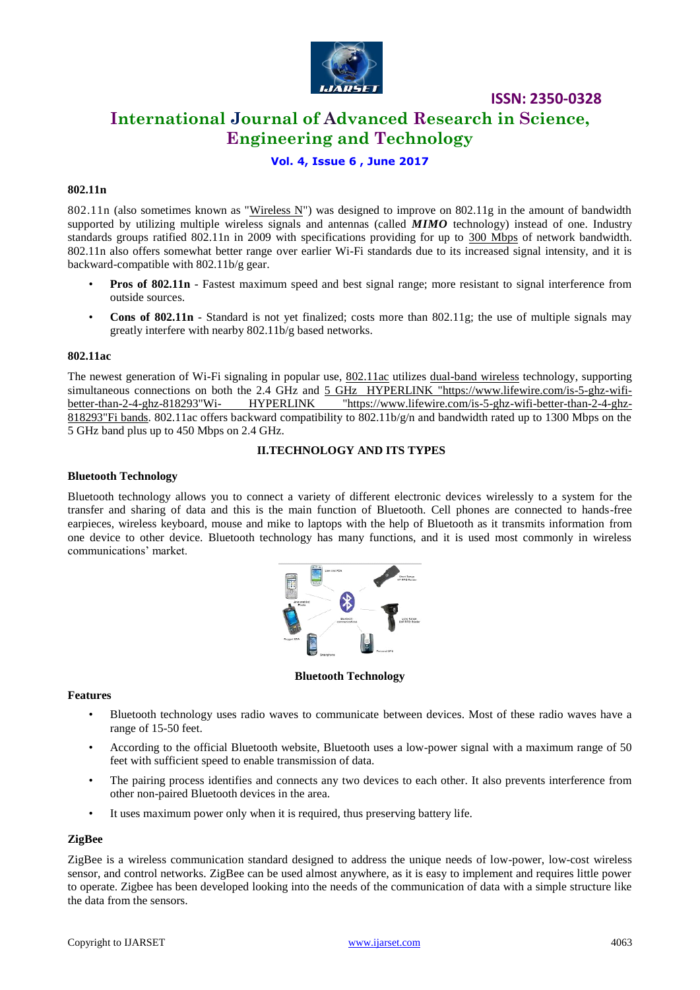

# **International Journal of Advanced Research in Science, Engineering and Technology**

# **Vol. 4, Issue 6 , June 2017**

## **802.11n**

802.11n (also sometimes known as ["Wireless N"](https://www.lifewire.com/what-is-wireless-n-818280)) was designed to improve on 802.11g in the amount of bandwidth supported by utilizing multiple wireless signals and antennas (called **MIMO** technology) instead of one. Industry standards groups ratified 802.11n in 2009 with specifications providing for up to [300 Mbps](https://www.lifewire.com/get-300-mbps-speed-on-802-11n-network-818267) of network bandwidth. 802.11n also offers somewhat better range over earlier Wi-Fi standards due to its increased signal intensity, and it is backward-compatible with 802.11b/g gear.

- **Pros of 802.11n** Fastest maximum speed and best signal range; more resistant to signal interference from outside sources.
- **Cons of 802.11n** Standard is not yet finalized; costs more than 802.11g; the use of multiple signals may greatly interfere with nearby 802.11b/g based networks.

### **802.11ac**

The newest generation of Wi-Fi signaling in popular use, [802.11ac](https://www.lifewire.com/802-11ac-in-wireless-networking-818284) utilizes [dual-band wireless](https://www.lifewire.com/dual-band-wireless-networking-explained-818279) technology, supporting simultaneous connections on both the 2.4 GHz and [5 GHz HYPERLINK "https://www.lifewire.com/is-5-ghz-wifi](https://www.lifewire.com/is-5-ghz-wifi-better-than-2-4-ghz-818293)better-than-2-4-ghz-818293"Wi- [HYPERLINK "https://www.lifewire.com/is-5-ghz-wifi-better-than-2-4-ghz-](https://www.lifewire.com/is-5-ghz-wifi-better-than-2-4-ghz-818293)[818293"Fi bands.](https://www.lifewire.com/is-5-ghz-wifi-better-than-2-4-ghz-818293) 802.11ac offers backward compatibility to 802.11b/g/n and bandwidth rated up to 1300 Mbps on the 5 GHz band plus up to 450 Mbps on 2.4 GHz.

## **II.TECHNOLOGY AND ITS TYPES**

### **Bluetooth Technology**

Bluetooth technology allows you to connect a variety of different electronic devices wirelessly to a system for the transfer and sharing of data and this is the main function of Bluetooth. Cell phones are connected to hands-free earpieces, wireless keyboard, mouse and mike to laptops with the help of Bluetooth as it transmits information from one device to other device. Bluetooth technology has many functions, and it is used most commonly in wireless communications' market.



**Bluetooth Technology**

### **Features**

- Bluetooth technology uses radio waves to communicate between devices. Most of these radio waves have a range of 15-50 feet.
- According to the official Bluetooth website, Bluetooth uses a low-power signal with a maximum range of 50 feet with sufficient speed to enable transmission of data.
- The pairing process identifies and connects any two devices to each other. It also prevents interference from other non-paired Bluetooth devices in the area.
- It uses maximum power only when it is required, thus preserving battery life.

## **ZigBee**

ZigBee is a wireless communication standard designed to address the unique needs of low-power, low-cost wireless sensor, and control networks. ZigBee can be used almost anywhere, as it is easy to implement and requires little power to operate. Zigbee has been developed looking into the needs of the communication of data with a simple structure like the data from the sensors.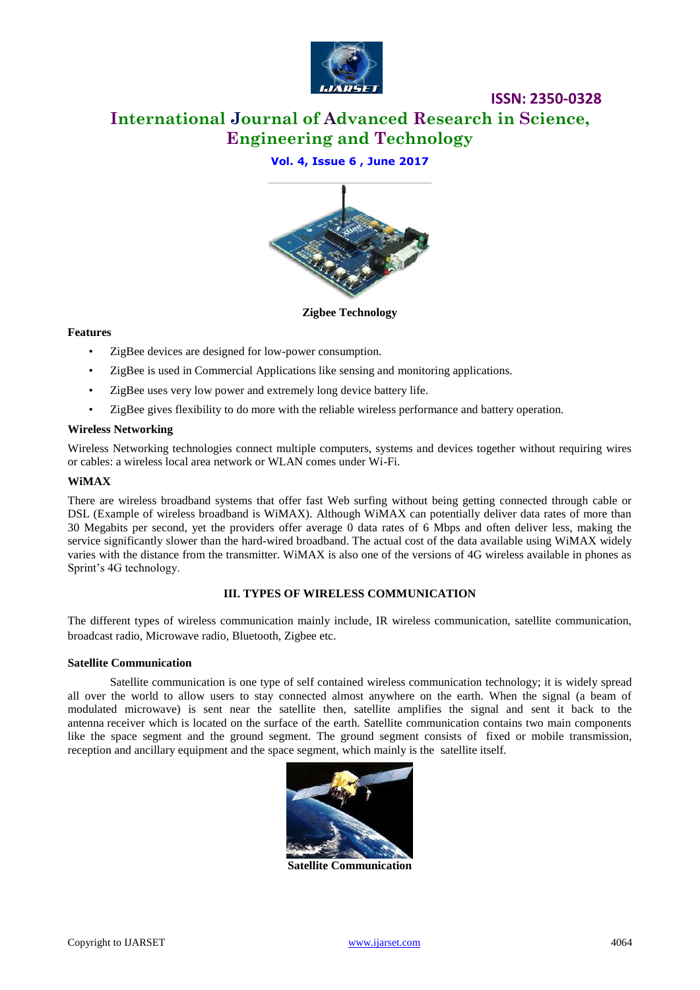

**International Journal of Advanced Research in Science, Engineering and Technology**

# **Vol. 4, Issue 6 , June 2017**



**Zigbee Technology**

## **Features**

- ZigBee devices are designed for low-power consumption.
- ZigBee is used in Commercial Applications like sensing and monitoring applications.
- ZigBee uses very low power and extremely long device battery life.
- ZigBee gives flexibility to do more with the reliable wireless performance and battery operation.

## **Wireless Networking**

Wireless Networking technologies connect multiple computers, systems and devices together without requiring wires or cables: a wireless local area network or WLAN comes under Wi-Fi.

### **WiMAX**

There are wireless broadband systems that offer fast Web surfing without being getting connected through cable or DSL (Example of wireless broadband is WiMAX). Although WiMAX can potentially deliver data rates of more than 30 Megabits per second, yet the providers offer average 0 data rates of 6 Mbps and often deliver less, making the service significantly slower than the hard-wired broadband. The actual cost of the data available using WiMAX widely varies with the distance from the transmitter. WiMAX is also one of the versions of 4G wireless available in phones as Sprint's 4G technology.

## **III. TYPES OF WIRELESS COMMUNICATION**

The different types of wireless communication mainly include, IR wireless communication, satellite communication, broadcast radio, Microwave radio, Bluetooth, Zigbee etc.

## **Satellite Communication**

Satellite communication is one type of self contained wireless communication technology; it is widely spread all over the world to allow users to stay connected almost anywhere on the earth. When the signal (a beam of modulated microwave) is sent near the satellite then, satellite amplifies the signal and sent it back to the antenna receiver which is located on the surface of the earth. Satellite communication contains two main components like the space segment and the ground segment. The ground segment consists of fixed or mobile transmission, reception and ancillary equipment and the space segment, which mainly is the satellite itself.



**Satellite Communication**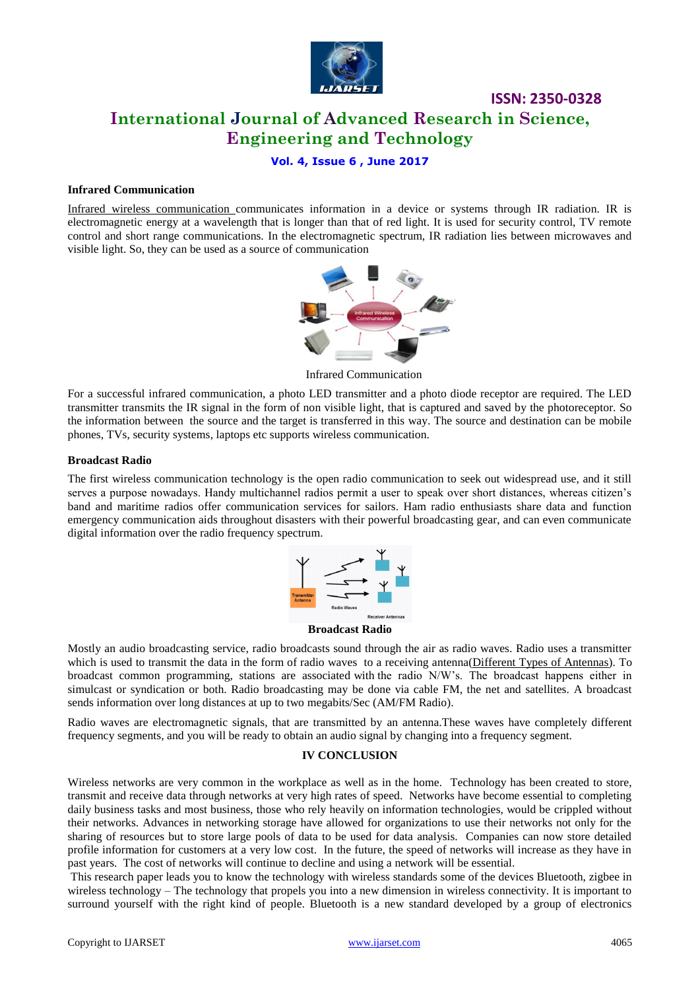

# **ISSN: 2350-0328 International Journal of Advanced Research in Science, Engineering and Technology**

# **Vol. 4, Issue 6 , June 2017**

### **Infrared Communication**

[Infrared wireless communication c](https://www.elprocus.com/communication-using-infrared-technology/)ommunicates information in a device or systems through IR radiation. IR is electromagnetic energy at a wavelength that is longer than that of red light. It is used for security control, TV remote control and short range communications. In the electromagnetic spectrum, IR radiation lies between microwaves and visible light. So, they can be used as a source of communication



Infrared Communication

For a successful infrared communication, a photo LED transmitter and a photo diode receptor are required. The LED transmitter transmits the IR signal in the form of non visible light, that is captured and saved by the photoreceptor. So the information between the source and the target is transferred in this way. The source and destination can be mobile phones, TVs, security systems, laptops etc supports wireless communication.

### **Broadcast Radio**

The first wireless communication technology is the open radio communication to seek out widespread use, and it still serves a purpose nowadays. Handy multichannel radios permit a user to speak over short distances, whereas citizen's band and maritime radios offer communication services for sailors. Ham radio enthusiasts share data and function emergency communication aids throughout disasters with their powerful broadcasting gear, and can even communicate digital information over the radio frequency spectrum.



### **Broadcast Radio**

Mostly an audio broadcasting service, radio broadcasts sound through the air as radio waves. Radio uses a transmitter which is used to transmit the data in the form of radio waves to a receiving antenna[\(Different Types of Antennas\)](https://www.elprocus.com/different-types-of-antennas-with-properties-and-thier-working/). To broadcast common programming, stations are associated with the radio N/W's. The broadcast happens either in simulcast or syndication or both. Radio broadcasting may be done via cable FM, the net and satellites. A broadcast sends information over long distances at up to two megabits/Sec (AM/FM Radio).

Radio waves are electromagnetic signals, that are transmitted by an antenna.These waves have completely different frequency segments, and you will be ready to obtain an audio signal by changing into a frequency segment.

### **IV CONCLUSION**

Wireless networks are very common in the workplace as well as in the home. Technology has been created to store, transmit and receive data through networks at very high rates of speed. Networks have become essential to completing daily business tasks and most business, those who rely heavily on information technologies, would be crippled without their networks. Advances in networking storage have allowed for organizations to use their networks not only for the sharing of resources but to store large pools of data to be used for data analysis. Companies can now store detailed profile information for customers at a very low cost. In the future, the speed of networks will increase as they have in past years. The cost of networks will continue to decline and using a network will be essential.

This research paper leads you to know the technology with wireless standards some of the devices Bluetooth, zigbee in wireless technology – The technology that propels you into a new dimension in wireless connectivity. It is important to surround yourself with the right kind of people. Bluetooth is a new standard developed by a group of electronics